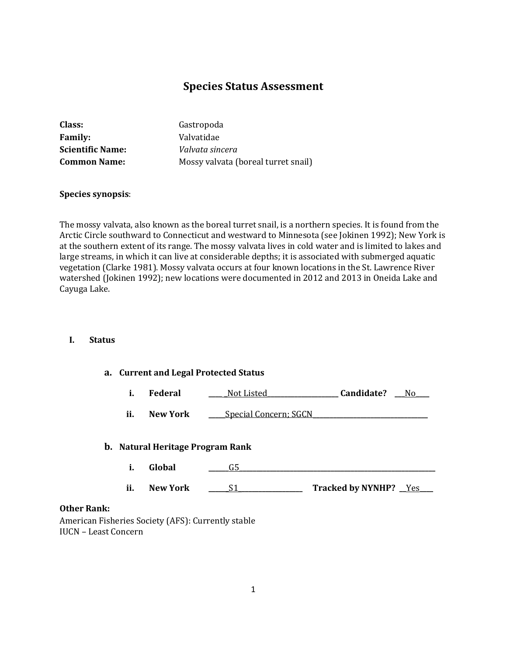# **Species Status Assessment**

| Class:                  | Gastropoda                          |
|-------------------------|-------------------------------------|
| <b>Family:</b>          | Valvatidae                          |
| <b>Scientific Name:</b> | Valvata sincera                     |
| <b>Common Name:</b>     | Mossy valvata (boreal turret snail) |

### **Species synopsis**:

The mossy valvata, also known as the boreal turret snail, is a northern species. It is found from the Arctic Circle southward to Connecticut and westward to Minnesota (see Jokinen 1992); New York is at the southern extent of its range. The mossy valvata lives in cold water and is limited to lakes and large streams, in which it can live at considerable depths; it is associated with submerged aquatic vegetation (Clarke 1981). Mossy valvata occurs at four known locations in the St. Lawrence River watershed (Jokinen 1992); new locations were documented in 2012 and 2013 in Oneida Lake and Cayuga Lake.

### **I. Status**

## **a. Current and Legal Protected Status**

|  | Federal | Not Listed | Candidate? | Νc |
|--|---------|------------|------------|----|
|--|---------|------------|------------|----|

**ii. New York \_\_\_\_** Special Concern; SGCN

#### **b. Natural Heritage Program Rank**

- **i. Global \_\_\_\_\_\_**G5**\_\_\_\_\_\_\_\_\_\_\_\_\_\_\_\_\_\_\_\_\_\_\_\_\_\_\_\_\_\_\_\_\_\_\_\_\_\_\_\_\_\_\_\_\_\_\_\_\_\_\_\_\_\_\_\_\_\_**
- **ii. New York \_\_\_\_\_\_**S1\_**\_\_\_\_\_\_\_\_\_\_\_\_\_\_\_\_\_\_ Tracked by NYNHP? \_\_**Yes**\_\_\_\_**

#### **Other Rank:**

American Fisheries Society (AFS): Currently stable IUCN – Least Concern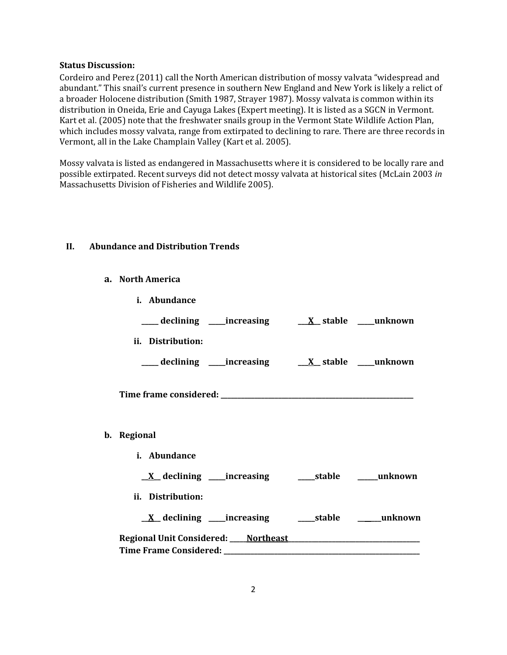#### **Status Discussion:**

Cordeiro and Perez (2011) call the North American distribution of mossy valvata "widespread and abundant." This snail's current presence in southern New England and New York is likely a relict of a broader Holocene distribution (Smith 1987, Strayer 1987). Mossy valvata is common within its distribution in Oneida, Erie and Cayuga Lakes (Expert meeting). It is listed as a SGCN in Vermont. Kart et al. (2005) note that the freshwater snails group in the Vermont State Wildlife Action Plan, which includes mossy valvata, range from extirpated to declining to rare. There are three records in Vermont, all in the Lake Champlain Valley (Kart et al. 2005).

Mossy valvata is listed as endangered in Massachusetts where it is considered to be locally rare and possible extirpated. Recent surveys did not detect mossy valvata at historical sites (McLain 2003 *in* Massachusetts Division of Fisheries and Wildlife 2005).

## **II. Abundance and Distribution Trends**

**a. North America**

| i. Abundance      |                                                                                                                           |  |
|-------------------|---------------------------------------------------------------------------------------------------------------------------|--|
|                   | ___declining ___increasing ___ <u>X</u> _stable ___unknown                                                                |  |
| ii. Distribution: |                                                                                                                           |  |
|                   | ___ declining ____increasing ____ <u>X</u> _stable ___unknown                                                             |  |
|                   |                                                                                                                           |  |
| b. Regional       |                                                                                                                           |  |
| i. Abundance      |                                                                                                                           |  |
|                   |                                                                                                                           |  |
| ii. Distribution: |                                                                                                                           |  |
|                   | <u>X</u> declining increasing and definition of the declining increasing and definition of the declining of the declining |  |
|                   |                                                                                                                           |  |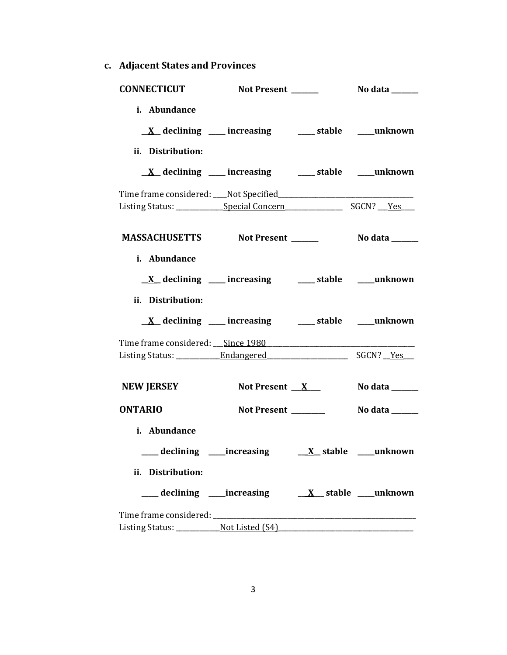**c. Adjacent States and Provinces**

| <b>CONNECTICUT</b>                                                                                    | Not Present ______                                                                                                          | No data ______ |
|-------------------------------------------------------------------------------------------------------|-----------------------------------------------------------------------------------------------------------------------------|----------------|
| i. Abundance<br>ii. Distribution:                                                                     | <u>X</u> declining ___ increasing ___ stable ___ unknown                                                                    |                |
|                                                                                                       | $\underline{X}$ declining ___ increasing ___ stable ___ unknown                                                             |                |
| Time frame considered: Not Specified Manual Allen Manual Allen Manual Allen Manual Allen Manual Allen |                                                                                                                             |                |
| MASSACHUSETTS Not Present ______                                                                      |                                                                                                                             | No data ______ |
| i. Abundance<br>ii. Distribution:                                                                     | <u>X</u> declining ___ increasing ___ stable ___ unknown<br>$\underline{X}$ declining ___ increasing ___ stable ___ unknown |                |
|                                                                                                       |                                                                                                                             |                |
|                                                                                                       |                                                                                                                             |                |
| <b>NEW JERSEY</b>                                                                                     | Not Present $X$                                                                                                             | No data ______ |
| <b>ONTARIO</b>                                                                                        | Not Present ______                                                                                                          | No data ______ |
| i. Abundance<br>ii. Distribution:                                                                     |                                                                                                                             |                |
|                                                                                                       |                                                                                                                             |                |
|                                                                                                       |                                                                                                                             |                |
|                                                                                                       |                                                                                                                             |                |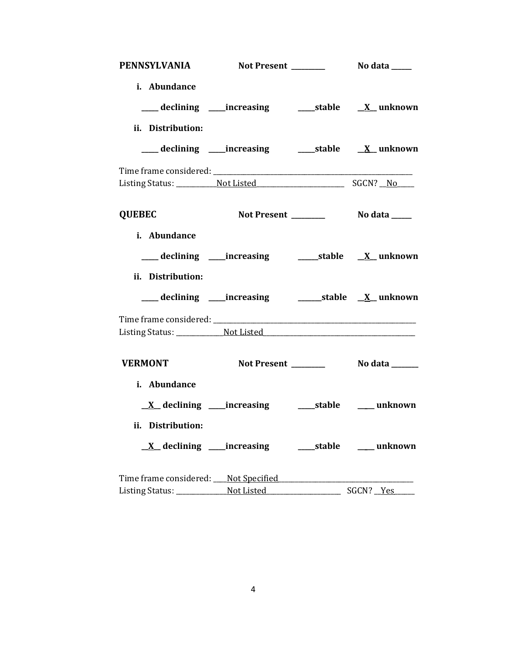|                                   | PENNSYLVANIA Not Present _________ No data ____                      |  |
|-----------------------------------|----------------------------------------------------------------------|--|
| i. Abundance<br>ii. Distribution: | ___ declining ____increasing ______stable ___ <u>X_</u> unknown      |  |
|                                   |                                                                      |  |
|                                   |                                                                      |  |
|                                   |                                                                      |  |
| <b>QUEBEC</b>                     |                                                                      |  |
| i. Abundance<br>ii. Distribution: | ___ declining ____increasing _________stable ___ <u>X_</u> _ unknown |  |
|                                   |                                                                      |  |
|                                   |                                                                      |  |
|                                   |                                                                      |  |
| <b>VERMONT</b>                    |                                                                      |  |
| i. Abundance                      | <u>X</u> declining ____increasing ______stable _____ unknown         |  |
| ii. Distribution:                 |                                                                      |  |
|                                   | <u>X</u> declining ____increasing _______stable ______ unknown       |  |
|                                   |                                                                      |  |
|                                   |                                                                      |  |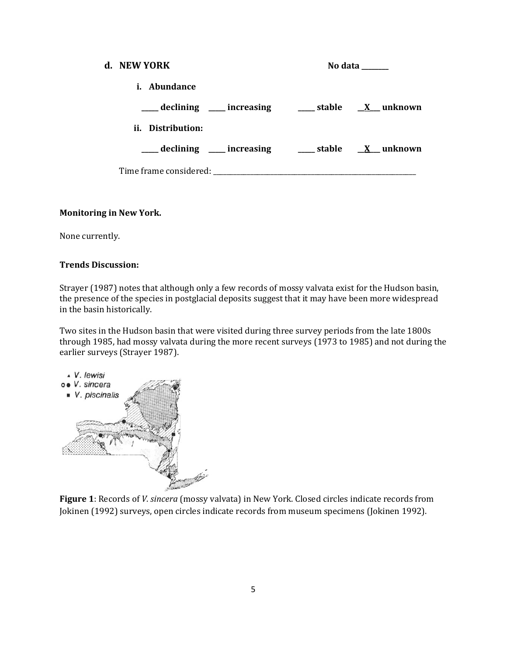| d. NEW YORK |                                                                                                                                                                                                                                | No data ______ |  |
|-------------|--------------------------------------------------------------------------------------------------------------------------------------------------------------------------------------------------------------------------------|----------------|--|
|             | <i>i.</i> Abundance                                                                                                                                                                                                            |                |  |
|             | ____ declining ____ increasing _____ stable __ <u>X</u> __ unknown                                                                                                                                                             |                |  |
|             | ii. Distribution:                                                                                                                                                                                                              |                |  |
|             | ____ declining ____ increasing _____ stable __ <u>X</u> __ unknown                                                                                                                                                             |                |  |
|             | Time frame considered: Time and the constant of the constant of the constant of the constant of the constant of the constant of the constant of the constant of the constant of the constant of the constant of the constant o |                |  |

## **Monitoring in New York.**

None currently.

## **Trends Discussion:**

Strayer (1987) notes that although only a few records of mossy valvata exist for the Hudson basin, the presence of the species in postglacial deposits suggest that it may have been more widespread in the basin historically.

Two sites in the Hudson basin that were visited during three survey periods from the late 1800s through 1985, had mossy valvata during the more recent surveys (1973 to 1985) and not during the earlier surveys (Strayer 1987).



**Figure 1**: Records of *V. sincera* (mossy valvata) in New York. Closed circles indicate records from Jokinen (1992) surveys, open circles indicate records from museum specimens (Jokinen 1992).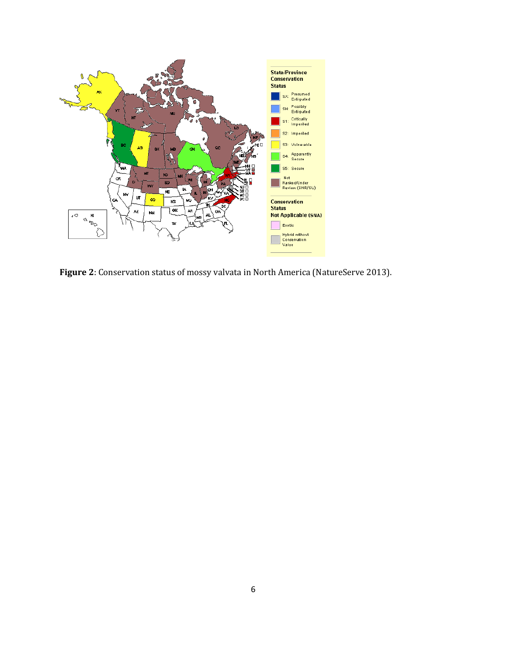

**Figure 2**: Conservation status of mossy valvata in North America (NatureServe 2013).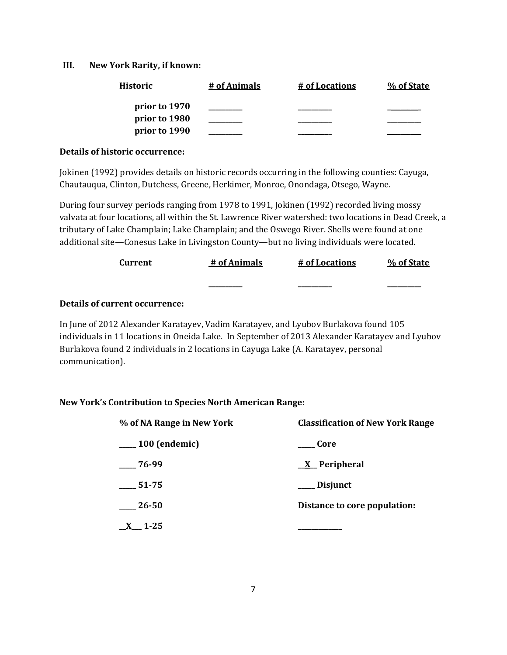## **III. New York Rarity, if known:**

| <b>Historic</b> | # of Animals | # of Locations | % of State |
|-----------------|--------------|----------------|------------|
| prior to 1970   |              |                |            |
| prior to 1980   |              |                |            |
| prior to 1990   |              |                |            |

### **Details of historic occurrence:**

Jokinen (1992) provides details on historic records occurring in the following counties: Cayuga, Chautauqua, Clinton, Dutchess, Greene, Herkimer, Monroe, Onondaga, Otsego, Wayne.

During four survey periods ranging from 1978 to 1991, Jokinen (1992) recorded living mossy valvata at four locations, all within the St. Lawrence River watershed: two locations in Dead Creek, a tributary of Lake Champlain; Lake Champlain; and the Oswego River. Shells were found at one additional site—Conesus Lake in Livingston County—but no living individuals were located.

| Current | # of Animals | # of Locations | % of State |
|---------|--------------|----------------|------------|
|         | ________     | _________      | _______    |

## **Details of current occurrence:**

In June of 2012 Alexander Karatayev, Vadim Karatayev, and Lyubov Burlakova found 105 individuals in 11 locations in Oneida Lake. In September of 2013 Alexander Karatayev and Lyubov Burlakova found 2 individuals in 2 locations in Cayuga Lake (A. Karatayev, personal communication).

## **New York's Contribution to Species North American Range:**

| % of NA Range in New York | <b>Classification of New York Range</b> |  |
|---------------------------|-----------------------------------------|--|
| $\frac{100}{2}$ (endemic) | <b>Core</b>                             |  |
| $-76-99$                  | $X$ Peripheral                          |  |
| $\frac{1}{2}$ 51-75       | ___ Disjunct                            |  |
| 26-50                     | Distance to core population:            |  |
| $1 - 25$                  |                                         |  |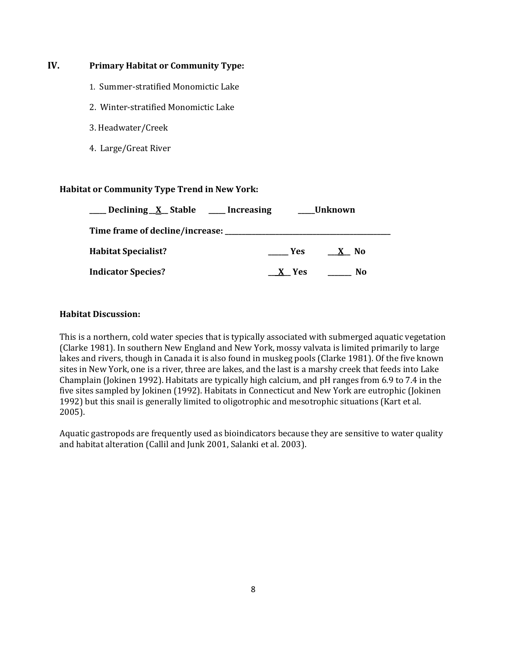## **IV. Primary Habitat or Community Type:**

- 1. Summer-stratified Monomictic Lake
- 2. Winter-stratified Monomictic Lake
- 3. Headwater/Creek
- 4. Large/Great River

## **Habitat or Community Type Trend in New York:**

| Declining X Stable ___ Increasing |       | Unknown |
|-----------------------------------|-------|---------|
|                                   |       |         |
| <b>Habitat Specialist?</b>        | Yes   | X No    |
| <b>Indicator Species?</b>         | X Yes | No      |

## **Habitat Discussion:**

This is a northern, cold water species that is typically associated with submerged aquatic vegetation (Clarke 1981). In southern New England and New York, mossy valvata is limited primarily to large lakes and rivers, though in Canada it is also found in muskeg pools (Clarke 1981). Of the five known sites in New York, one is a river, three are lakes, and the last is a marshy creek that feeds into Lake Champlain (Jokinen 1992). Habitats are typically high calcium, and pH ranges from 6.9 to 7.4 in the five sites sampled by Jokinen (1992). Habitats in Connecticut and New York are eutrophic (Jokinen 1992) but this snail is generally limited to oligotrophic and mesotrophic situations (Kart et al. 2005).

Aquatic gastropods are frequently used as bioindicators because they are sensitive to water quality and habitat alteration (Callil and Junk 2001, Salanki et al. 2003).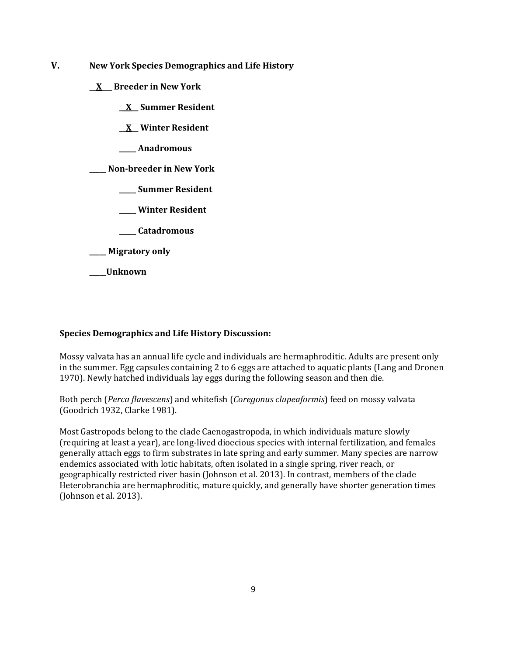- **V. New York Species Demographics and Life History**
	- **\_\_X\_\_\_ Breeder in New York**
		- **\_\_X\_\_ Summer Resident**
		- **\_\_X\_\_ Winter Resident**
		- **\_\_\_\_\_ Anadromous**

**\_\_\_\_\_ Non-breeder in New York**

- **\_\_\_\_\_ Summer Resident**
- **\_\_\_\_\_ Winter Resident**
- **\_\_\_\_\_ Catadromous**
- **\_\_\_\_\_ Migratory only**
- **\_\_\_\_\_Unknown**

## **Species Demographics and Life History Discussion:**

Mossy valvata has an annual life cycle and individuals are hermaphroditic. Adults are present only in the summer. Egg capsules containing 2 to 6 eggs are attached to aquatic plants (Lang and Dronen 1970). Newly hatched individuals lay eggs during the following season and then die.

Both perch (*Perca flavescens*) and whitefish (*Coregonus clupeaformis*) feed on mossy valvata (Goodrich 1932, Clarke 1981).

Most Gastropods belong to the clade Caenogastropoda, in which individuals mature slowly (requiring at least a year), are long-lived dioecious species with internal fertilization, and females generally attach eggs to firm substrates in late spring and early summer. Many species are narrow endemics associated with lotic habitats, often isolated in a single spring, river reach, or geographically restricted river basin (Johnson et al. 2013). In contrast, members of the clade Heterobranchia are hermaphroditic, mature quickly, and generally have shorter generation times (Johnson et al. 2013).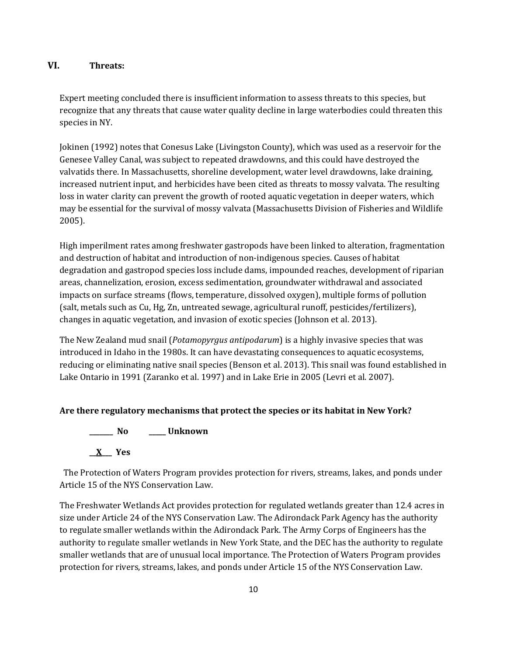## **VI. Threats:**

Expert meeting concluded there is insufficient information to assess threats to this species, but recognize that any threats that cause water quality decline in large waterbodies could threaten this species in NY.

Jokinen (1992) notes that Conesus Lake (Livingston County), which was used as a reservoir for the Genesee Valley Canal, was subject to repeated drawdowns, and this could have destroyed the valvatids there. In Massachusetts, shoreline development, water level drawdowns, lake draining, increased nutrient input, and herbicides have been cited as threats to mossy valvata. The resulting loss in water clarity can prevent the growth of rooted aquatic vegetation in deeper waters, which may be essential for the survival of mossy valvata (Massachusetts Division of Fisheries and Wildlife 2005).

High imperilment rates among freshwater gastropods have been linked to alteration, fragmentation and destruction of habitat and introduction of non-indigenous species. Causes of habitat degradation and gastropod species loss include dams, impounded reaches, development of riparian areas, channelization, erosion, excess sedimentation, groundwater withdrawal and associated impacts on surface streams (flows, temperature, dissolved oxygen), multiple forms of pollution (salt, metals such as Cu, Hg, Zn, untreated sewage, agricultural runoff, pesticides/fertilizers), changes in aquatic vegetation, and invasion of exotic species (Johnson et al. 2013).

The New Zealand mud snail (*Potamopyrgus antipodarum*) is a highly invasive species that was introduced in Idaho in the 1980s. It can have devastating consequences to aquatic ecosystems, reducing or eliminating native snail species (Benson et al. 2013). This snail was found established in Lake Ontario in 1991 (Zaranko et al. 1997) and in Lake Erie in 2005 (Levri et al. 2007).

## **Are there regulatory mechanisms that protect the species or its habitat in New York?**

**\_\_\_\_\_\_\_ No \_\_\_\_\_ Unknown**

**\_\_X\_\_\_ Yes** 

 The Protection of Waters Program provides protection for rivers, streams, lakes, and ponds under Article 15 of the NYS Conservation Law.

The Freshwater Wetlands Act provides protection for regulated wetlands greater than 12.4 acres in size under Article 24 of the NYS Conservation Law. The Adirondack Park Agency has the authority to regulate smaller wetlands within the Adirondack Park. The Army Corps of Engineers has the authority to regulate smaller wetlands in New York State, and the DEC has the authority to regulate smaller wetlands that are of unusual local importance. The Protection of Waters Program provides protection for rivers, streams, lakes, and ponds under Article 15 of the NYS Conservation Law.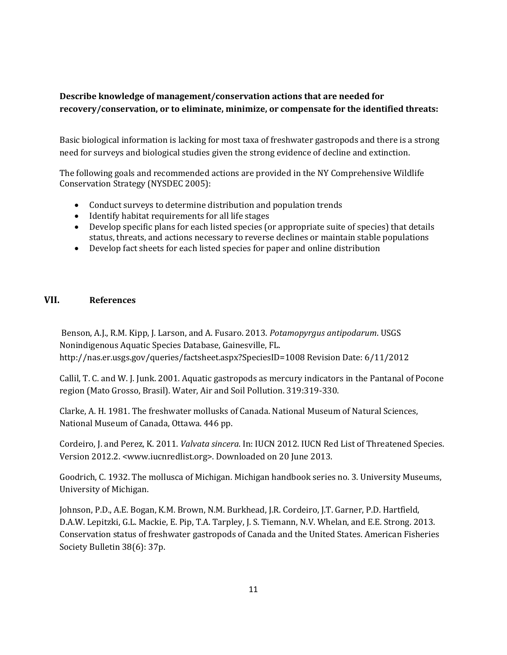# **Describe knowledge of management/conservation actions that are needed for recovery/conservation, or to eliminate, minimize, or compensate for the identified threats:**

Basic biological information is lacking for most taxa of freshwater gastropods and there is a strong need for surveys and biological studies given the strong evidence of decline and extinction.

The following goals and recommended actions are provided in the NY Comprehensive Wildlife Conservation Strategy (NYSDEC 2005):

- Conduct surveys to determine distribution and population trends
- Identify habitat requirements for all life stages
- Develop specific plans for each listed species (or appropriate suite of species) that details status, threats, and actions necessary to reverse declines or maintain stable populations
- Develop fact sheets for each listed species for paper and online distribution

# **VII. References**

Benson, A.J., R.M. Kipp, J. Larson, and A. Fusaro. 2013. *Potamopyrgus antipodarum*. USGS Nonindigenous Aquatic Species Database, Gainesville, FL. http://nas.er.usgs.gov/queries/factsheet.aspx?SpeciesID=1008 Revision Date: 6/11/2012

Callil, T. C. and W. J. Junk. 2001. Aquatic gastropods as mercury indicators in the Pantanal of Pocone region (Mato Grosso, Brasil). Water, Air and Soil Pollution. 319:319-330.

Clarke, A. H. 1981. The freshwater mollusks of Canada. National Museum of Natural Sciences, National Museum of Canada, Ottawa. 446 pp.

Cordeiro, J. and Perez, K. 2011. *Valvata sincera*. In: IUCN 2012. IUCN Red List of Threatened Species. Version 2012.2. <www.iucnredlist.org>. Downloaded on 20 June 2013.

Goodrich, C. 1932. The mollusca of Michigan. Michigan handbook series no. 3. University Museums, University of Michigan.

Johnson, P.D., A.E. Bogan, K.M. Brown, N.M. Burkhead, J.R. Cordeiro, J.T. Garner, P.D. Hartfield, D.A.W. Lepitzki, G.L. Mackie, E. Pip, T.A. Tarpley, J. S. Tiemann, N.V. Whelan, and E.E. Strong. 2013. Conservation status of freshwater gastropods of Canada and the United States. American Fisheries Society Bulletin 38(6): 37p.